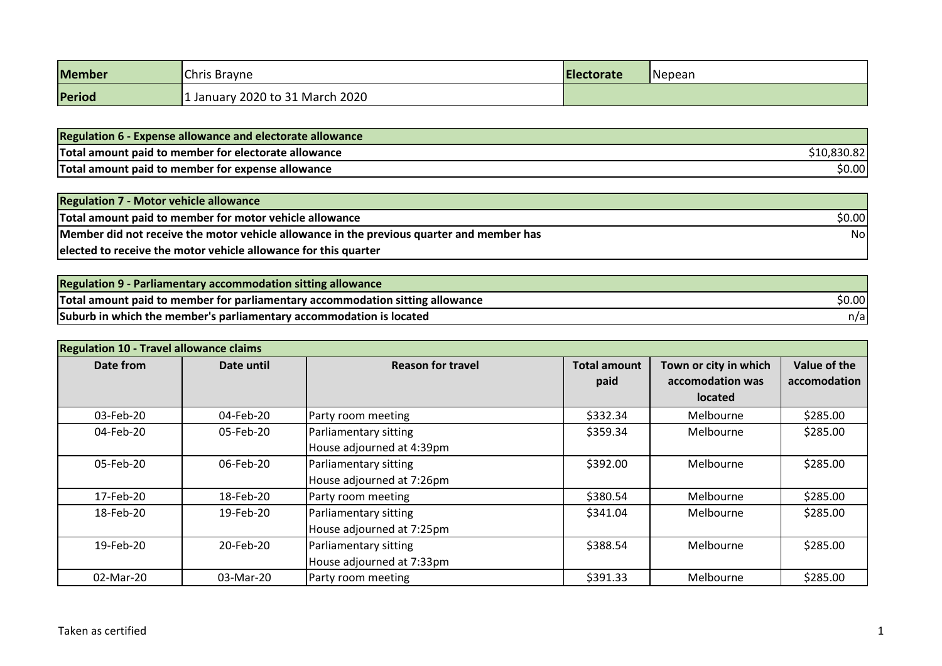| <b>Member</b> | Chris Brayne                    | Electorate | Nepean |
|---------------|---------------------------------|------------|--------|
| Period        | 1 January 2020 to 31 March 2020 |            |        |

| <b>Regulation 6 - Expense allowance and electorate allowance</b> |         |
|------------------------------------------------------------------|---------|
| Total amount paid to member for electorate allowance             | .oju.oz |
| Total amount paid to member for expense allowance                | \$0.00  |

| <b>Regulation 7 - Motor vehicle allowance</b>                                             |        |
|-------------------------------------------------------------------------------------------|--------|
| Total amount paid to member for motor vehicle allowance                                   | \$0.00 |
| Member did not receive the motor vehicle allowance in the previous quarter and member has | Nol    |
| elected to receive the motor vehicle allowance for this quarter                           |        |

| <b>Regulation 9 - Parliamentary accommodation sitting allowance</b>           |        |
|-------------------------------------------------------------------------------|--------|
| Total amount paid to member for parliamentary accommodation sitting allowance | \$0.00 |
| Suburb in which the member's parliamentary accommodation is located           | n/a    |

| <b>Regulation 10 - Travel allowance claims</b> |            |                                                                |                             |                                                             |                              |
|------------------------------------------------|------------|----------------------------------------------------------------|-----------------------------|-------------------------------------------------------------|------------------------------|
| Date from                                      | Date until | <b>Reason for travel</b>                                       | <b>Total amount</b><br>paid | Town or city in which<br>accomodation was<br><b>located</b> | Value of the<br>accomodation |
| 03-Feb-20                                      | 04-Feb-20  | Party room meeting                                             | \$332.34                    | Melbourne                                                   | \$285.00                     |
| 04-Feb-20                                      | 05-Feb-20  | Parliamentary sitting<br>House adjourned at 4:39pm             | \$359.34                    | Melbourne                                                   | \$285.00                     |
| 05-Feb-20                                      | 06-Feb-20  | Parliamentary sitting<br>House adjourned at 7:26pm             | \$392.00                    | Melbourne                                                   | \$285.00                     |
| 17-Feb-20                                      | 18-Feb-20  | Party room meeting                                             | \$380.54                    | Melbourne                                                   | \$285.00                     |
| 18-Feb-20                                      | 19-Feb-20  | Parliamentary sitting<br>\$341.04<br>House adjourned at 7:25pm |                             | Melbourne                                                   | \$285.00                     |
| 19-Feb-20                                      | 20-Feb-20  | Parliamentary sitting<br>House adjourned at 7:33pm             | \$388.54                    | Melbourne                                                   | \$285.00                     |
| 02-Mar-20                                      | 03-Mar-20  | Party room meeting                                             | \$391.33                    | Melbourne                                                   | \$285.00                     |